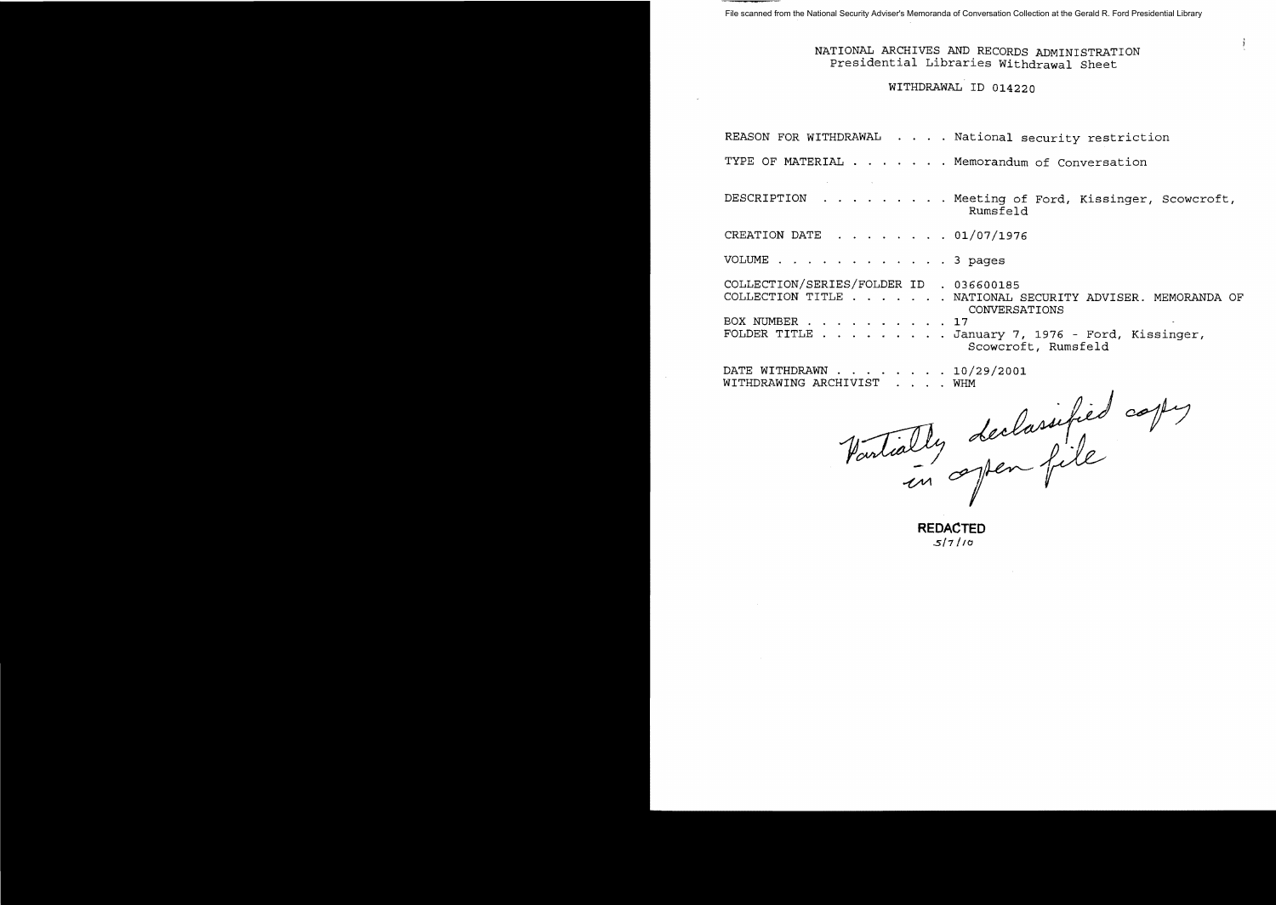# NATIONAL ARCHIVES AND RECORDS ADMINISTRATION Presidential Libraries Withdrawal Sheet

# WITHDRAWAL ID 014220

|                                         |  | REASON FOR WITHDRAWAL National security restriction                             |
|-----------------------------------------|--|---------------------------------------------------------------------------------|
|                                         |  | TYPE OF MATERIAL Memorandum of Conversation                                     |
|                                         |  | DESCRIPTION Meeting of Ford, Kissinger, Scowcroft,<br>Rumsfeld                  |
| CREATION DATE 01/07/1976                |  |                                                                                 |
| VOLUME 3 pages                          |  |                                                                                 |
| COLLECTION/SERIES/FOLDER ID . 036600185 |  | COLLECTION TITLE NATIONAL SECURITY ADVISER. MEMORANDA OF<br>CONVERSATIONS       |
| BOX NUMBER 17                           |  | FOLDER TITLE $\ldots$ January 7, 1976 - Ford, Kissinger,<br>Scowcroft, Rumsfeld |
| $\mathbf{r}$                            |  |                                                                                 |

DATE WITHDRAWN . . . . WITHDRAWING ARCHIVIST 10/29/2001

Vartially de WHM<br>declassified copy

**REDACTED**  *..5/7/10*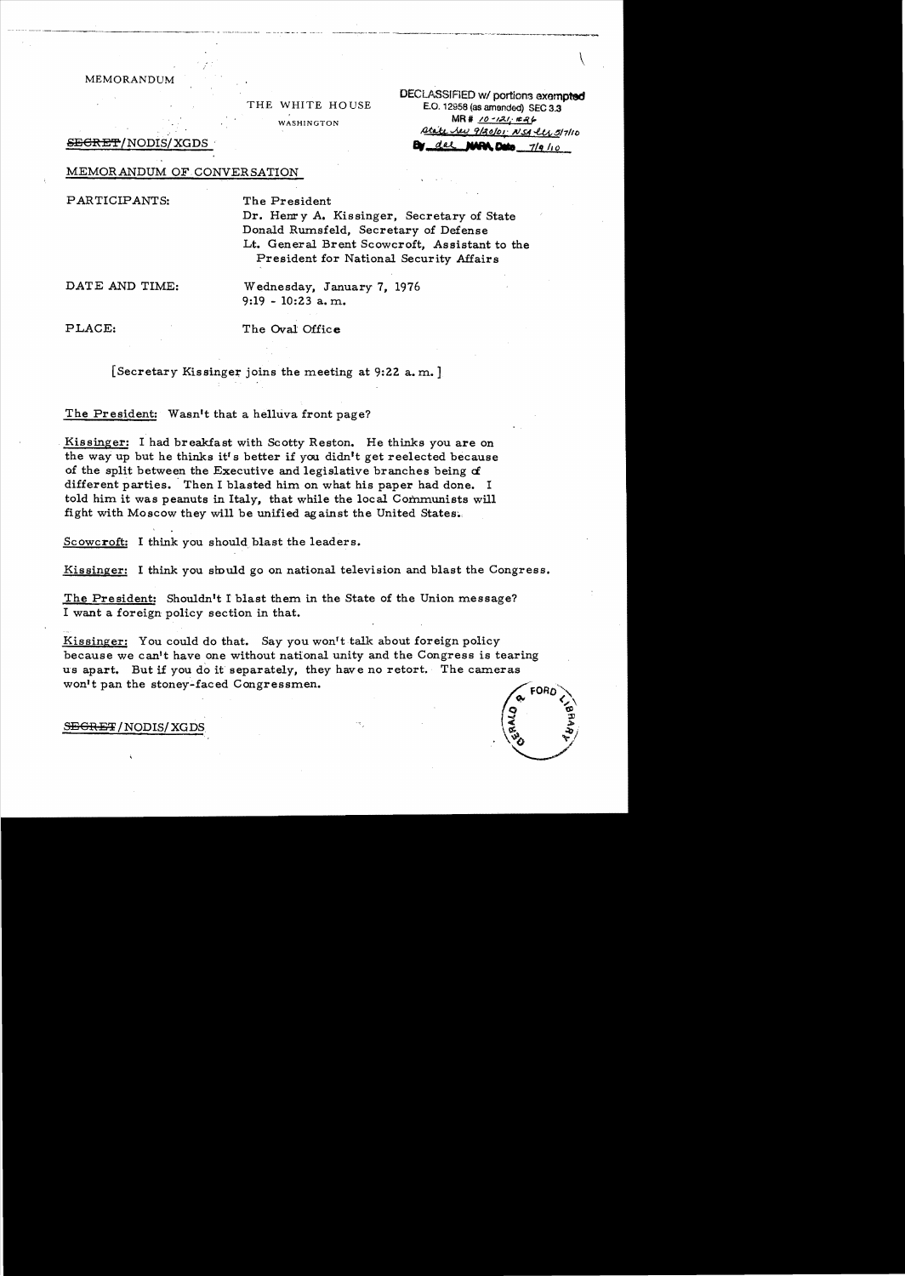MEMORANDUM

THE WHITE HOUSE WASHINGTON

**DECLASSIFIED w/ portions exempted** E.O. 12958 (as amended) SEC 3.3  $MR# 10 - 121. #86$ <u>Atate Jeu 9/20/01 NSA ler 5/7/10</u> dal MARA Dete  $7/9/10$ 

<del>SECRET</del>/NODIS/XGDS

## MEMORANDUM OF CONVERSATION

#### PARTICIPANTS:

The President

Dr. Henry A. Kissinger, Secretary of State Donald Rumsfeld, Secretary of Defense Lt. General Brent Scowcroft. Assistant to the President for National Security Affairs

DATE AND TIME:

Wednesday, January 7, 1976  $9:19 - 10:23$  a.m.

PLACE:

The Oval Office

[Secretary Kissinger joins the meeting at 9:22 a.m.]

The President: Wasn't that a helluva front page?

Kissinger: I had breakfast with Scotty Reston. He thinks you are on the way up but he thinks it's better if you didn't get reelected because of the split between the Executive and legislative branches being of different parties. Then I blasted him on what his paper had done. I told him it was peanuts in Italy, that while the local Communists will fight with Moscow they will be unified against the United States.

Scowcroft: I think you should blast the leaders.

Kissinger: I think you should go on national television and blast the Congress.

The President: Shouldn't I blast them in the State of the Union message? I want a foreign policy section in that.

Kissinger: You could do that. Say you won't talk about foreign policy because we can't have one without national unity and the Congress is tearing us apart. But if you do it separately, they have no retort. The cameras won't pan the stoney-faced Congressmen.



#### SEGRET/NODIS/XGDS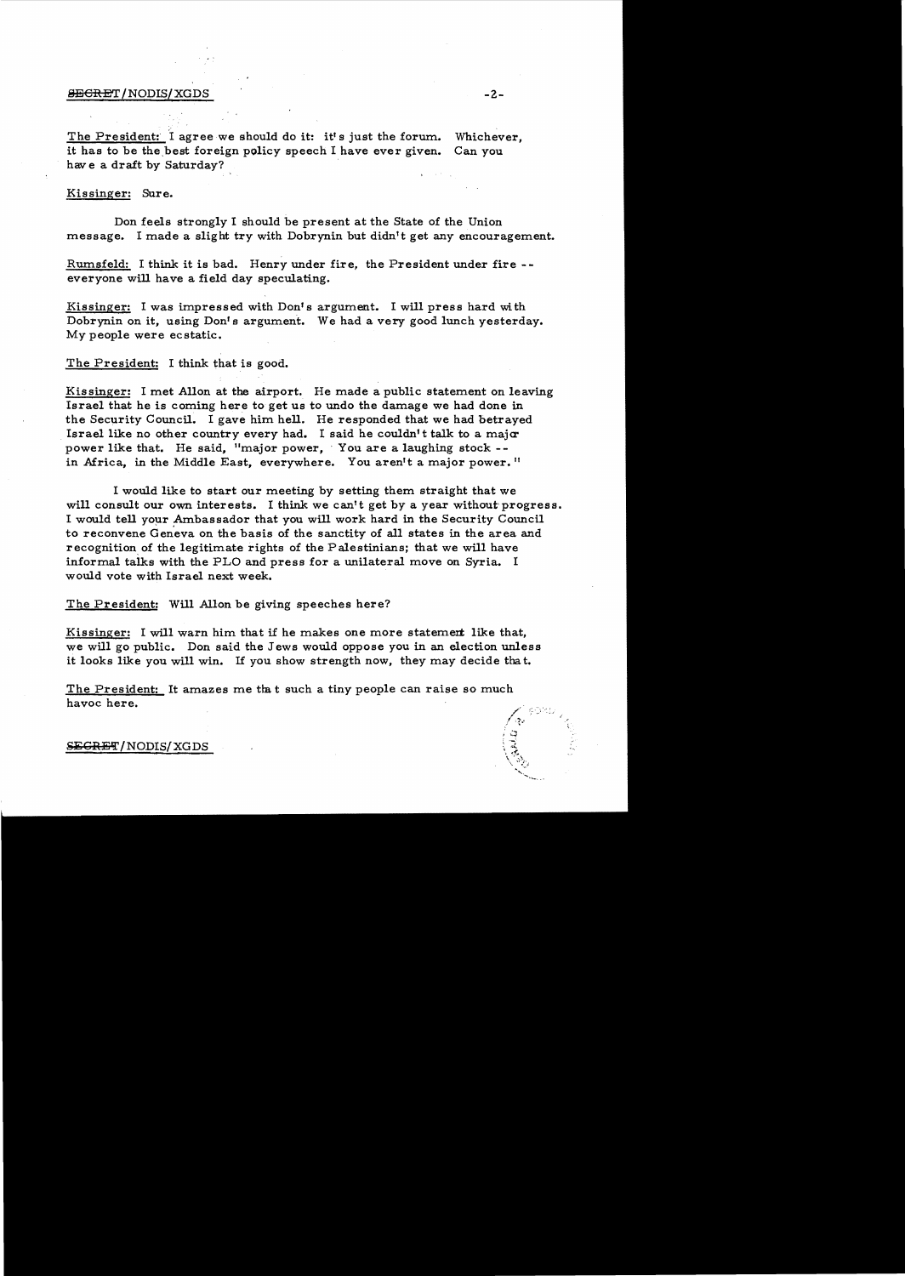## 8BCRET/NODIS/XGDS -2.

The President: I agree we should do it: it's just the forum. Whichever, it has to be the best foreign policy speech I have ever given. Can you have a draft by Saturday?

## Kissinger: Sure.

Don feels strongly I should be present at the State of the Union message. I made a slight try with Dobrynin but didn't get any encouragement.

Rumsfeld: I think it is bad. Henry under fire, the President under fire -everyone will have a field day speculating.

Kissinger: I was impressed with Don's argument. I will press hard with Dobrynin on it, using Don's argument. We had a very good lunch yesterday. My people were ecstatic.

#### The President: I think that is good.

Kissinger: I met Allon at the airport. He made a public statement on leaving Israel that he is coming here to get us to undo the damage we had done in the Security Council. I gave him hell. He responded that we had betrayed Israel like no other country every had. I said he couldn't talk to a major power like that. He said, "major power, You are a laughing stock -in Africa, in the Middle East, everywhere. You aren't a major power."

I would like to start our meeting by setting them straight that we will consult our own interests. I think we can't get by a year without progress. I would tell your Ambassador that you will work hard in the Security Council to reconvene Geneva on the basis of the sanctity of all states in the area and recognition of the legitimate rights of the Palestinians; that we will have informal talks with the PLO and press for a unilateral move on Syria. I would vote with Israel next week.

The President: Will Allon be giving speeches here?

Kissinger: I will warn him that if he makes one more statement like that, we will go public. Don said the Jews would oppose you in an election unless it looks like you will win. If you show strength now, they may decide that.

The President: It amazes me that such a tiny people can raise so much havoc here.

### SEGRET/NODIS/XGDS

へきこえ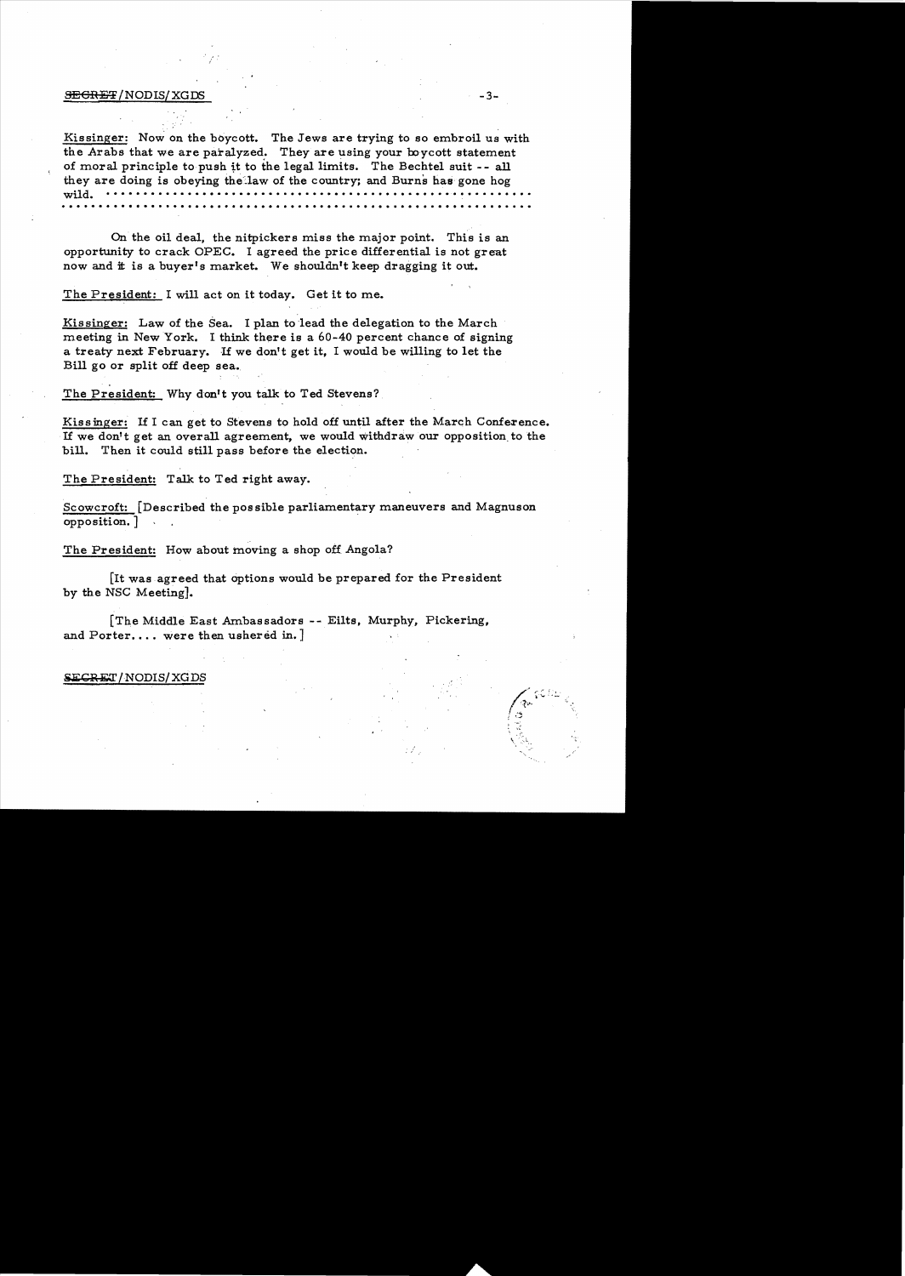#### $\overline{\text{SEGREF}}$  / NODIS/ XGDS  $-3-$

Kissinger: Now on the boycott. The Jews are trying to so embroil us with the Arabs that we are paralyzed. They are using your boycott statement of moral principle to push tt to the legal limits. The Bechtel suit - - all they are doing is obeying the law of the country; and Burns has gone hog wild. . . . . . . . . . . .. . . . . . . . . . .. . . . . .. . . . .. . . . .... . . . . . . . . . . . . . . . . . . . .. . .

On the oil deal, the nitpickers miss the major point. This is an opportunity to crack OPEC. I agreed the price differential is not great now and it is a buyer's market. We shouldn't keep dragging it out.

The President: I will act on it today. Get it to me.

Kissinger: Law of the Sea. I plan to lead the delegation to the March meeting in New York. I think there is a 60-40 percent chance of signing a treaty next February. If we don't get it, I would be willing to let the Bill go or split off deep sea.

The President: Why don't you talk to Ted Stevens?

Kissinger: If I can get to Stevens to hold off until after the March Conference. If we don't get an overall agreement, we would withdraw our opposition. to the bill. Then it could still pass before the election.

The President: Talk to Ted right away.

Scowcroft: [Described the pos sible parliamentary maneuvers and Magnuson opposition. ] .

The President: How about moving a shop off Angola?

[It was agreed that options would be prepared for the President by the NSC Meeting].

[The Middle East Ambassadors -- Eilts, Murphy, Pickering, and Porter.... were then ushered in.  $]$ 

**SECRET/NODIS/XGDS**